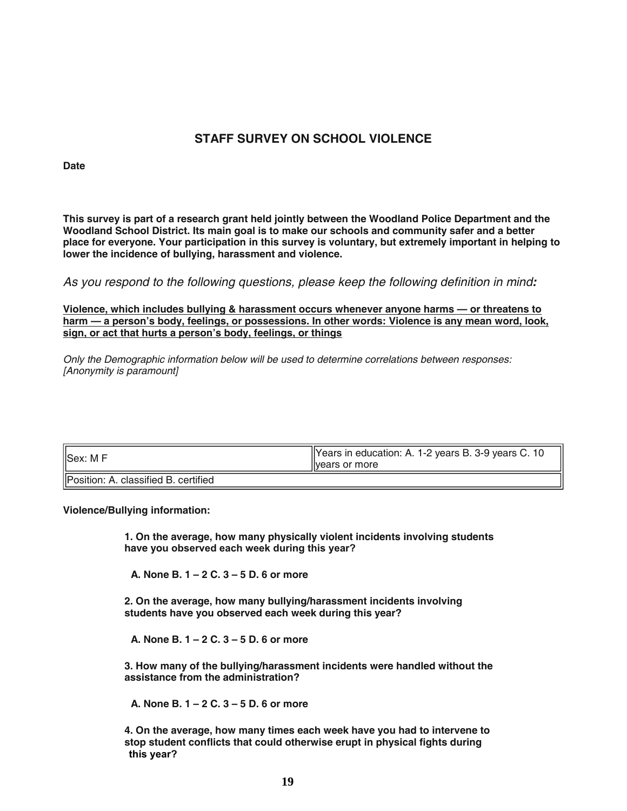## **STAFF SURVEY ON SCHOOL VIOLENCE**

**Date**

**This survey is part of a research grant held jointly between the Woodland Police Department and the Woodland School District. Its main goal is to make our schools and community safer and a better place for everyone. Your participation in this survey is voluntary, but extremely important in helping to lower the incidence of bullying, harassment and violence.**

As you respond to the following questions, please keep the following definition in mind**:**

**Violence, which includes bullying & harassment occurs whenever anyone harms — or threatens to harm — a person's body, feelings, or possessions. In other words: Violence is any mean word, look, sign, or act that hurts a person's body, feelings, or things**

Only the Demographic information below will be used to determine correlations between responses: [Anonymity is paramount]

| Sex: M F                                     | Years in education: A. 1-2 years B. 3-9 years C. 10<br>livears or more |
|----------------------------------------------|------------------------------------------------------------------------|
| <b>IPosition: A. classified B. certified</b> |                                                                        |

**Violence/Bullying information:**

**1. On the average, how many physically violent incidents involving students have you observed each week during this year?**

**A. None B. 1 – 2 C. 3 – 5 D. 6 or more**

**2. On the average, how many bullying/harassment incidents involving students have you observed each week during this year?**

**A. None B. 1 – 2 C. 3 – 5 D. 6 or more**

**3. How many of the bullying/harassment incidents were handled without the assistance from the administration?**

**A. None B. 1 – 2 C. 3 – 5 D. 6 or more**

**4. On the average, how many times each week have you had to intervene to stop student conflicts that could otherwise erupt in physical fights during this year?**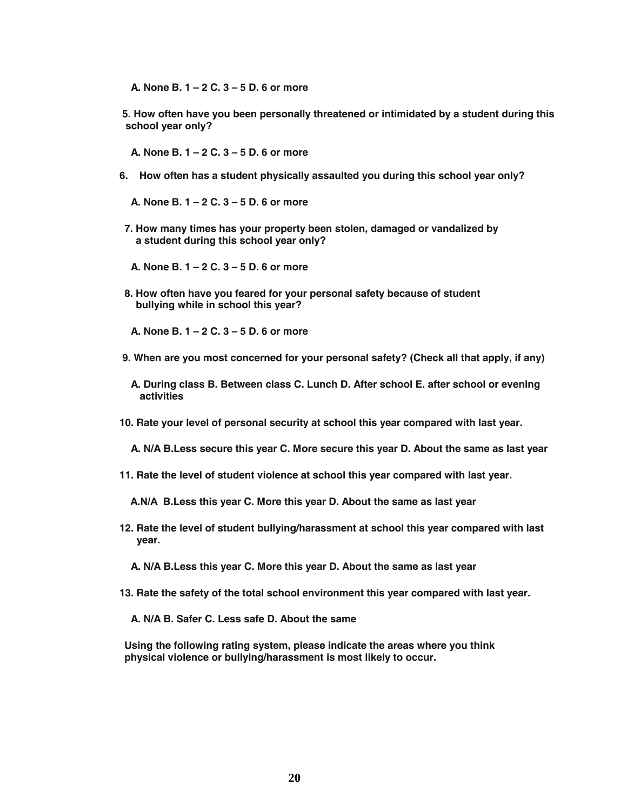**A. None B. 1 – 2 C. 3 – 5 D. 6 or more**

**5. How often have you been personally threatened or intimidated by a student during this school year only?**

**A. None B. 1 – 2 C. 3 – 5 D. 6 or more**

- **6. How often has a student physically assaulted you during this school year only?**
	- **A. None B. 1 2 C. 3 5 D. 6 or more**
- **7. How many times has your property been stolen, damaged or vandalized by a student during this school year only?**

**A. None B. 1 – 2 C. 3 – 5 D. 6 or more**

**8. How often have you feared for your personal safety because of student bullying while in school this year?**

**A. None B. 1 – 2 C. 3 – 5 D. 6 or more**

- **9. When are you most concerned for your personal safety? (Check all that apply, if any)**
	- **A. During class B. Between class C. Lunch D. After school E. after school or evening activities**
- **10. Rate your level of personal security at school this year compared with last year.**
	- **A. N/A B.Less secure this year C. More secure this year D. About the same as last year**
- **11. Rate the level of student violence at school this year compared with last year.**

**A.N/A B.Less this year C. More this year D. About the same as last year**

- **12. Rate the level of student bullying/harassment at school this year compared with last year.**
	- **A. N/A B.Less this year C. More this year D. About the same as last year**
- **13. Rate the safety of the total school environment this year compared with last year.**

**A. N/A B. Safer C. Less safe D. About the same**

**Using the following rating system, please indicate the areas where you think physical violence or bullying/harassment is most likely to occur.**